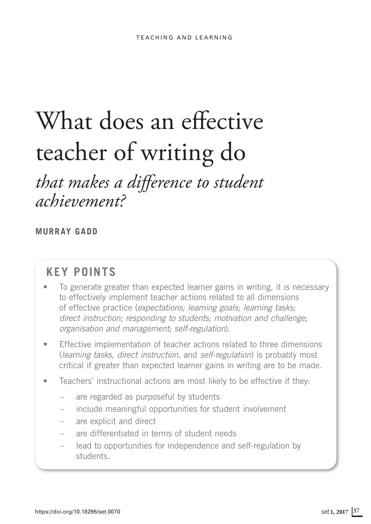# What does an effective teacher of writing do

# *that makes a difference to student achievement?*

# **MURRAY GADD**

# **KEY POINTS**

- To generate greater than expected learner gains in writing, it is necessary to effectively implement teacher actions related to all dimensions of effective practice (*expectations; learning goals; learning tasks; direct instruction; responding to students; motivation and challenge; organisation and management; self-regulation*).
- Effective implementation of teacher actions related to three dimensions (*learning tasks, direct instruction*, and *self-regulation*) is probably most critical if greater than expected learner gains in writing are to be made.
- Teachers' instructional actions are most likely to be effective if they:
	- are regarded as purposeful by students
	- include meaningful opportunities for student involvement
	- are explicit and direct
	- are differentiated in terms of student needs
	- lead to opportunities for independence and self-regulation by students.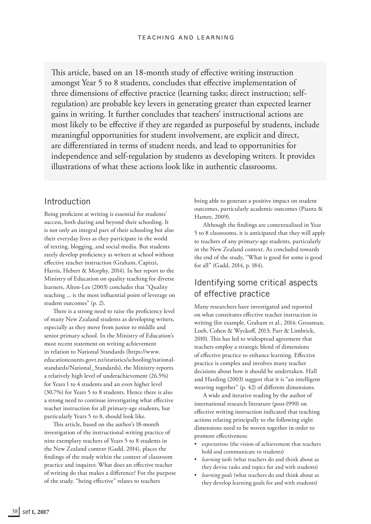This article, based on an 18-month study of effective writing instruction amongst Year 5 to 8 students, concludes that effective implementation of three dimensions of effective practice (learning tasks; direct instruction; selfregulation) are probable key levers in generating greater than expected learner gains in writing. It further concludes that teachers' instructional actions are most likely to be effective if they are regarded as purposeful by students, include meaningful opportunities for student involvement, are explicit and direct, are differentiated in terms of student needs, and lead to opportunities for independence and self-regulation by students as developing writers. It provides illustrations of what these actions look like in authentic classrooms.

# Introduction

Being proficient at writing is essential for students' success, both during and beyond their schooling. It is not only an integral part of their schooling but also their everyday lives as they participate in the world of texting, blogging, and social media. But students rarely develop proficiency as writers at school without effective teacher instruction (Graham, Capizzi, Harris, Hebert & Morphy, 2014). In her report to the Ministry of Education on quality teaching for diverse learners, Alton-Lee (2003) concludes that "Quality teaching ... is the most influential point of leverage on student outcomes" (p. 2).

There is a strong need to raise the proficiency level of many New Zealand students as developing writers, especially as they move from junior to middle and senior primary school. In the Ministry of Education's most recent statement on writing achievement in relation to National Standards ([https://www.](https://www.educationcounts.govt.nz/statistics/schooling/national-standards/National_Standards) [educationcounts.govt.nz/statistics/schooling/national](https://www.educationcounts.govt.nz/statistics/schooling/national-standards/National_Standards)[standards/National\\_Standards\)](https://www.educationcounts.govt.nz/statistics/schooling/national-standards/National_Standards), the Ministry reports a relatively high level of underachievement (26.5%) for Years 1 to 4 students and an even higher level (30.7%) for Years 5 to 8 students. Hence there is also a strong need to continue investigating what effective teacher instruction for all primary-age students, but particularly Years 5 to 8, should look like.

This article, based on the author's 18-month investigation of the instructional writing practice of nine exemplary teachers of Years 5 to 8 students in the New Zealand context (Gadd, 2014), places the findings of the study within the context of classroom practice and inquires: What does an effective teacher of writing do that makes a difference? For the purpose of the study, "being effective" relates to teachers

being able to generate a positive impact on student outcomes, particularly academic outcomes (Pianta & Hamre, 2009).

Although the findings are contextualised in Year 5 to 8 classrooms, it is anticipated that they will apply to teachers of any primary-age students, particularly in the New Zealand context. As concluded towards the end of the study, "What is good for some is good for all" (Gadd, 2014, p. 184).

# Identifying some critical aspects of effective practice

Many researchers have investigated and reported on what constitutes effective teacher instruction in writing (for example, Graham et al., 2014; Grossman, Loeb, Cohen & Wyckoff, 2013; Parr & Limbrick, 2010). This has led to widespread agreement that teachers employ a strategic blend of dimensions of effective practice to enhance learning. Effective practice is complex and involves many teacher decisions about how it should be undertaken. Hall and Harding (2003) suggest that it is "an intelligent weaving together" (p. 42) of different dimensions.

A wide and iterative reading by the author of international research literature (post-1990) on effective writing instruction indicated that teaching actions relating principally to the following eight dimensions need to be woven together in order to promore effectiveness:

- expectations (the vision of achievement that teachers hold and communicate to students)
- *learning tasks* (what teachers do and think about as they devise tasks and topics for and with students)
- *learning goals* (what teachers do and think about as they develop learning goals for and with students)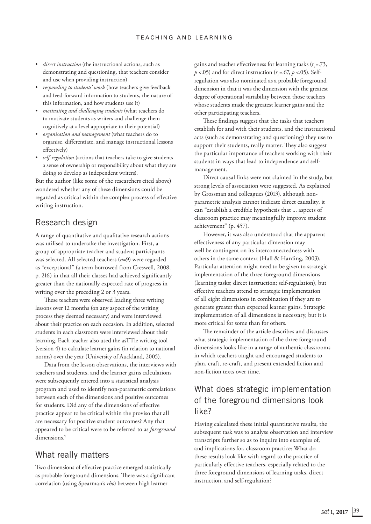- *direct instruction* (the instructional actions, such as demonstrating and questioning, that teachers consider and use when providing instruction)
- *responding to students' work* (how teachers give feedback and feed-forward information to students, the nature of this information, and how students use it)
- *motivating and challenging students* (what teachers do to motivate students as writers and challenge them cognitively at a level appropriate to their potential)
- *organisation and management* (what teachers do to organise, differentiate, and manage instructional lessons effectively)
- *self-regulation* (actions that teachers take to give students a sense of ownership or responsibility about what they are doing to develop as independent writers).

But the author (like some of the researchers cited above) wondered whether any of these dimensions could be regarded as critical within the complex process of effective writing instruction.

#### Research design

A range of quantitative and qualitative research actions was utilised to undertake the investigation. First, a group of appropriate teacher and student participants was selected. All selected teachers (*n*=9) were regarded as "exceptional" (a term borrowed from Creswell, 2008, p. 216) in that all their classes had achieved significantly greater than the nationally expected rate of progress in writing over the preceding 2 or 3 years.

These teachers were observed leading three writing lessons over 12 months (on any aspect of the writing process they deemed necessary) and were interviewed about their practice on each occasion. In addition, selected students in each classroom were interviewed about their learning. Each teacher also used the asTTle writing tool (version 4) to calculate learner gains (in relation to national norms) over the year (University of Auckland, 2005).

Data from the lesson observations, the interviews with teachers and students, and the learner gains calculations were subsequently entered into a statistical analysis program and used to identify non-parametric correlations between each of the dimensions and positive outcomes for students. Did any of the dimensions of effective practice appear to be critical within the proviso that all are necessary for positive student outcomes? Any that appeared to be critical were to be referred to as *foreground*  dimensions.<sup>1</sup>

## What really matters

Two dimensions of effective practice emerged statistically as probable foreground dimensions. There was a significant correlation (using Spearman's *rho*) between high learner

gains and teacher effectiveness for learning tasks ( $r<sub>s</sub>$  = .73,  $p$  <.05) and for direct instruction ( $r_s$ =.67,  $p$  <.05). Selfregulation was also nominated as a probable foreground dimension in that it was the dimension with the greatest degree of operational variability between those teachers whose students made the greatest learner gains and the other participating teachers.

These findings suggest that the tasks that teachers establish for and with their students, and the instructional acts (such as demonstrating and questioning) they use to support their students, really matter. They also suggest the particular importance of teachers working with their students in ways that lead to independence and selfmanagement.

Direct causal links were not claimed in the study, but strong levels of association were suggested. As explained by Grossman and colleagues (2013), although nonparametric analysis cannot indicate direct causality, it can "establish a credible hypothesis that ... aspects of classroom practice may meaningfully improve student achievement" (p. 457).

However, it was also understood that the apparent effectiveness of any particular dimension may well be contingent on its interconnectedness with others in the same context (Hall & Harding, 2003). Particular attention might need to be given to strategic implementation of the three foreground dimensions (learning tasks; direct instruction; self-regulation), but effective teachers attend to strategic implementation of all eight dimensions in combination if they are to generate greater than expected learner gains. Strategic implementation of all dimensions is necessary, but it is more critical for some than for others.

The remainder of the article describes and discusses what strategic implementation of the three foreground dimensions looks like in a range of authentic classrooms in which teachers taught and encouraged students to plan, craft, re-craft, and present extended fiction and non-fiction texts over time.

# What does strategic implementation of the foreground dimensions look like?

Having calculated these initial quantitative results, the subsequent task was to analyse observation and interview transcripts further so as to inquire into examples of, and implications for, classroom practice: What do these results look like with regard to the practice of particularly effective teachers, especially related to the three foreground dimensions of learning tasks, direct instruction, and self-regulation?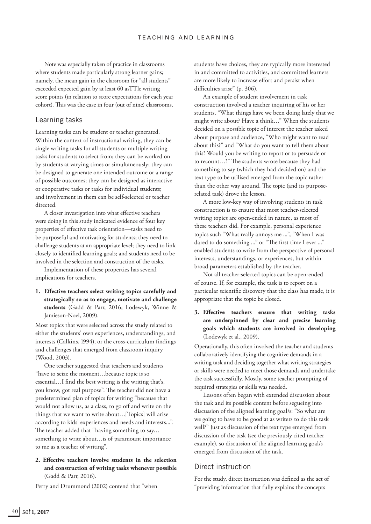Note was especially taken of practice in classrooms where students made particularly strong learner gains; namely, the mean gain in the classroom for "all students" exceeded expected gain by at least 60 asTTle writing score points (in relation to score expectations for each year cohort). This was the case in four (out of nine) classrooms.

#### Learning tasks

Learning tasks can be student or teacher generated. Within the context of instructional writing, they can be single writing tasks for all students or multiple writing tasks for students to select from; they can be worked on by students at varying times or simultaneously; they can be designed to generate one intended outcome or a range of possible outcomes; they can be designed as interactive or cooperative tasks or tasks for individual students; and involvement in them can be self-selected or teacher directed.

A closer investigation into what effective teachers were doing in this study indicated evidence of four key properties of effective task orientation—tasks need to be purposeful and motivating for students; they need to challenge students at an appropriate level; they need to link closely to identified learning goals; and students need to be involved in the selection and construction of the tasks.

Implementation of these properties has several implications for teachers.

**1. Effective teachers select writing topics carefully and strategically so as to engage, motivate and challenge students** (Gadd & Parr, 2016; Lodewyk, Winne & Jamieson-Noel, 2009).

Most topics that were selected across the study related to either the students' own experiences, understandings, and interests (Calkins, 1994), or the cross-curriculum findings and challenges that emerged from classroom inquiry (Wood, 2003).

One teacher suggested that teachers and students "have to seize the moment…because topic is so essential…I find the best writing is the writing that's, you know, got real purpose". The teacher did not have a predetermined plan of topics for writing "because that would not allow us, as a class, to go off and write on the things that we want to write about…[Topics] will arise according to kids' experiences and needs and interests...". The teacher added that "having something to say… something to write about…is of paramount importance to me as a teacher of writing".

#### **2. Effective teachers involve students in the selection and construction of writing tasks whenever possible** (Gadd & Parr, 2016).

Perry and Drummond (2002) contend that "when

students have choices, they are typically more interested in and committed to activities, and committed learners are more likely to increase effort and persist when difficulties arise" (p. 306).

An example of student involvement in task construction involved a teacher inquiring of his or her students, "What things have we been doing lately that we might write about? Have a think…" When the students decided on a possible topic of interest the teacher asked about purpose and audience, "Who might want to read about this?" and "What do you want to tell them about this? Would you be writing to report or to persuade or to recount…?" The students wrote because they had something to say (which they had decided on) and the text type to be utilised emerged from the topic rather than the other way around. The topic (and its purposerelated task) drove the lesson.

A more low-key way of involving students in task construction is to ensure that most teacher-selected writing topics are open-ended in nature, as most of these teachers did. For example, personal experience topics such "What really annoys me ...", "When I was dared to do something ..." or "The first time I ever ..." enabled students to write from the perspective of personal interests, understandings, or experiences, but within broad parameters established by the teacher.

Not all teacher-selected topics can be open-ended of course. If, for example, the task is to report on a particular scientific discovery that the class has made, it is appropriate that the topic be closed.

**3. Effective teachers ensure that writing tasks are underpinned by clear and precise learning goals which students are involved in developing** (Lodewyk et al., 2009).

Operationally, this often involved the teacher and students collaboratively identifying the cognitive demands in a writing task and deciding together what writing strategies or skills were needed to meet those demands and undertake the task successfully. Mostly, some teacher prompting of required strategies or skills was needed.

Lessons often began with extended discussion about the task and its possible content before segueing into discussion of the aligned learning goal/s: "So what are we going to have to be good at as writers to do this task well?" Just as discussion of the text type emerged from discussion of the task (see the previously cited teacher example), so discussion of the aligned learning goal/s emerged from discussion of the task.

#### Direct instruction

For the study, direct instruction was defined as the act of "providing information that fully explains the concepts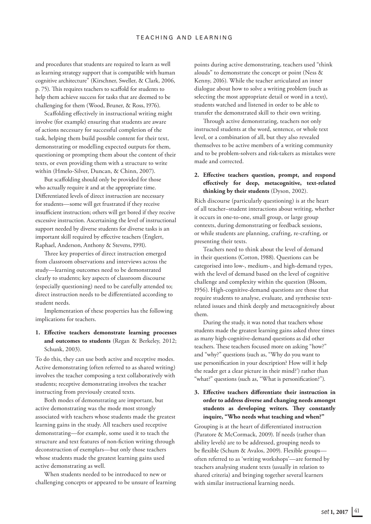and procedures that students are required to learn as well as learning strategy support that is compatible with human cognitive architecture" (Kirschner, Sweller, & Clark, 2006, p. 75). This requires teachers to scaffold for students to help them achieve success for tasks that are deemed to be challenging for them (Wood, Bruner, & Ross, 1976).

Scaffolding effectively in instructional writing might involve (for example) ensuring that students are aware of actions necessary for successful completion of the task, helping them build possible content for their text, demonstrating or modelling expected outputs for them, questioning or prompting them about the content of their texts, or even providing them with a structure to write within (Hmelo-Silver, Duncan, & Chinn, 2007).

But scaffolding should only be provided for those who actually require it and at the appropriate time. Differentiated levels of direct instruction are necessary for students—some will get frustrated if they receive insufficient instruction; others will get bored if they receive excessive instruction. Ascertaining the level of instructional support needed by diverse students for diverse tasks is an important skill required by effective teachers (Englert, Raphael, Anderson, Anthony & Stevens, 1991).

Three key properties of direct instruction emerged from classroom observations and interviews across the study—learning outcomes need to be demonstrated clearly to students; key aspects of classroom discourse (especially questioning) need to be carefully attended to; direct instruction needs to be differentiated according to student needs.

Implementation of these properties has the following implications for teachers.

#### **1. Effective teachers demonstrate learning processes and outcomes to students** (Regan & Berkeley, 2012; Schunk, 2003).

To do this, they can use both active and receptive modes. Active demonstrating (often referred to as shared writing) involves the teacher composing a text collaboratively with students; receptive demonstrating involves the teacher instructing from previously created texts.

Both modes of demonstrating are important, but active demonstrating was the mode most strongly associated with teachers whose students made the greatest learning gains in the study. All teachers used receptive demonstrating—for example, some used it to teach the structure and text features of non-fiction writing through deconstruction of exemplars—but only those teachers whose students made the greatest learning gains used active demonstrating as well.

When students needed to be introduced to new or challenging concepts or appeared to be unsure of learning points during active demonstrating, teachers used "think alouds" to demonstrate the concept or point (Ness & Kenny, 2016). While the teacher articulated an inner dialogue about how to solve a writing problem (such as selecting the most appropriate detail or word in a text), students watched and listened in order to be able to transfer the demonstrated skill to their own writing.

Through active demonstrating, teachers not only instructed students at the word, sentence, or whole text level, or a combination of all, but they also revealed themselves to be active members of a writing community and to be problem-solvers and risk-takers as mistakes were made and corrected.

#### **2. Effective teachers question, prompt, and respond effectively for deep, metacognitive, text-related thinking by their students** (Dyson, 2002).

Rich discourse (particularly questioning) is at the heart of all teacher–student interactions about writing, whether it occurs in one-to-one, small group, or large group contexts, during demonstrating or feedback sessions, or while students are planning, crafting, re-crafting, or presenting their texts.

Teachers need to think about the level of demand in their questions (Cotton, 1988). Questions can be categorised into low-, medium-, and high-demand types, with the level of demand based on the level of cognitive challenge and complexity within the question (Bloom, 1956). High-cognitive-demand questions are those that require students to analyse, evaluate, and synthesise textrelated issues and think deeply and metacognitively about them.

During the study, it was noted that teachers whose students made the greatest learning gains asked three times as many high-cognitive-demand questions as did other teachers. These teachers focused more on asking "how?" and "why?" questions (such as, "Why do you want to use personification in your description? How will it help the reader get a clear picture in their mind?') rather than "what?" questions (such as, "What is personification?").

#### **3. Effective teachers differentiate their instruction in order to address diverse and changing needs amongst students as developing writers. They constantly inquire, "Who needs what teaching and when?"**

Grouping is at the heart of differentiated instruction (Paratore & McCormack, 2009). If needs (rather than ability levels) are to be addressed, grouping needs to be flexible (Schum & Avalos, 2009). Flexible groups often referred to as 'writing workshops'—are formed by teachers analysing student texts (usually in relation to shared criteria) and bringing together several learners with similar instructional learning needs.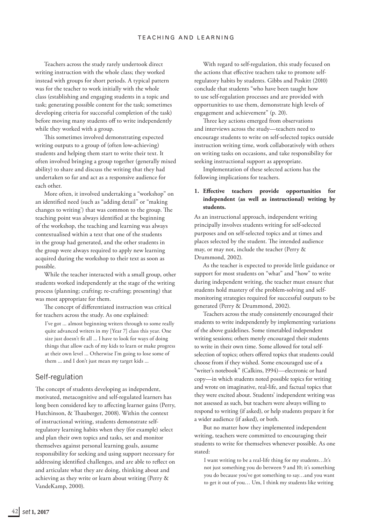Teachers across the study rarely undertook direct writing instruction with the whole class; they worked instead with groups for short periods. A typical pattern was for the teacher to work initially with the whole class (establishing and engaging students in a topic and task; generating possible content for the task; sometimes developing criteria for successful completion of the task) before moving many students off to write independently while they worked with a group.

This sometimes involved demonstrating expected writing outputs to a group of (often low-achieving) students and helping them start to write their text. It often involved bringing a group together (generally mixed ability) to share and discuss the writing that they had undertaken so far and act as a responsive audience for each other.

More often, it involved undertaking a "workshop" on an identified need (such as "adding detail" or "making changes to writing') that was common to the group. The teaching point was always identified at the beginning of the workshop, the teaching and learning was always contextualised within a text that one of the students in the group had generated, and the other students in the group were always required to apply new learning acquired during the workshop to their text as soon as possible.

While the teacher interacted with a small group, other students worked independently at the stage of the writing process (planning; crafting; re-crafting; presenting) that was most appropriate for them.

The concept of differentiated instruction was critical for teachers across the study. As one explained:

I've got ... almost beginning writers through to some really quite advanced writers in my [Year 7] class this year. One size just doesn't fit all ... I have to look for ways of doing things that allow each of my kids to learn or make progress at their own level ... Otherwise I'm going to lose some of them ... and I don't just mean my target kids ...

#### Self-regulation

The concept of students developing as independent, motivated, metacognitive and self-regulated learners has long been considered key to affecting learner gains (Perry, Hutchinson, & Thauberger, 2008). Within the context of instructional writing, students demonstrate selfregulatory learning habits when they (for example) select and plan their own topics and tasks, set and monitor themselves against personal learning goals, assume responsibility for seeking and using support necessary for addressing identified challenges, and are able to reflect on and articulate what they are doing, thinking about and achieving as they write or learn about writing (Perry & VandeKamp, 2000).

With regard to self-regulation, this study focused on the actions that effective teachers take to promote selfregulatory habits by students. Gibbs and Poskitt (2010) conclude that students "who have been taught how to use self-regulation processes and are provided with opportunities to use them, demonstrate high levels of engagement and achievement" (p. 20).

Three key actions emerged from observations and interviews across the study—teachers need to encourage students to write on self-selected topics outside instruction writing time, work collaboratively with others on writing tasks on occasions, and take responsibility for seeking instructional support as appropriate.

Implementation of these selected actions has the following implications for teachers.

#### **1. Effective teachers provide opportunities for independent (as well as instructional) writing by students.**

As an instructional approach, independent writing principally involves students writing for self-selected purposes and on self-selected topics and at times and places selected by the student. The intended audience may, or may not, include the teacher (Perry & Drummond, 2002).

As the teacher is expected to provide little guidance or support for most students on "what" and "how" to write during independent writing, the teacher must ensure that students hold mastery of the problem-solving and selfmonitoring strategies required for successful outputs to be generated (Perry & Drummond, 2002).

Teachers across the study consistently encouraged their students to write independently by implementing variations of the above guidelines. Some timetabled independent writing sessions; others merely encouraged their students to write in their own time. Some allowed for total selfselection of topics; others offered topics that students could choose from if they wished. Some encouraged use of a "writer's notebook" (Calkins, 1994)—electronic or hard copy—in which students noted possible topics for writing and wrote on imaginative, real-life, and factual topics that they were excited about. Students' independent writing was not assessed as such, but teachers were always willing to respond to writing (if asked), or help students prepare it for a wider audience (if asked), or both.

But no matter how they implemented independent writing, teachers were committed to encouraging their students to write for themselves whenever possible. As one stated:

I want writing to be a real-life thing for my students…It's not just something you do between 9 and 10; it's something you do because you've got something to say…and you want to get it out of you… Um, I think my students like writing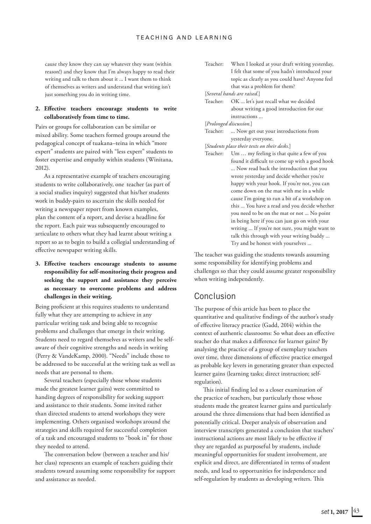cause they know they can say whatever they want (within reason!) and they know that I'm always happy to read their writing and talk to them about it ... I want them to think of themselves as writers and understand that writing isn't just something you do in writing time.

#### **2. Effective teachers encourage students to write collaboratively from time to time.**

Pairs or groups for collaboration can be similar or mixed ability. Some teachers formed groups around the pedagogical concept of tuakana–teina in which "more expert" students are paired with "less expert" students to foster expertise and empathy within students (Winitana, 2012).

As a representative example of teachers encouraging students to write collaboratively, one teacher (as part of a social studies inquiry) suggested that his/her students work in buddy-pairs to ascertain the skills needed for writing a newspaper report from known examples, plan the content of a report, and devise a headline for the report. Each pair was subsequently encouraged to articulate to others what they had learnt about writing a report so as to begin to build a collegial understanding of effective newspaper writing skills.

#### **3. Effective teachers encourage students to assume responsibility for self-monitoring their progress and seeking the support and assistance they perceive as necessary to overcome problems and address challenges in their writing.**

Being proficient at this requires students to understand fully what they are attempting to achieve in any particular writing task and being able to recognise problems and challenges that emerge in their writing. Students need to regard themselves as writers and be selfaware of their cognitive strengths and needs in writing (Perry & VandeKamp, 2000). "Needs" include those to be addressed to be successful at the writing task as well as needs that are personal to them.

Several teachers (especially those whose students made the greatest learner gains) were committed to handing degrees of responsibility for seeking support and assistance to their students. Some invited rather than directed students to attend workshops they were implementing. Others organised workshops around the strategies and skills required for successful completion of a task and encouraged students to "book in" for those they needed to attend.

The conversation below (between a teacher and his/ her class) represents an example of teachers guiding their students toward assuming some responsibility for support and assistance as needed.

Teacher: When I looked at your draft writing yesterday, I felt that some of you hadn't introduced your topic as clearly as you could have? Anyone feel that was a problem for them?

[*Several hands are raised.*]

Teacher: OK ... let's just recall what we decided about writing a good introduction for our instructions ...

[*Prolonged discussion.*]

Teacher: ... Now get out your introductions from yesterday everyone.

[*Students place their texts on their desks.*]

Teacher: Um … my feeling is that quite a few of you found it difficult to come up with a good hook ... Now read back the introduction that you wrote yesterday and decide whether you're happy with your hook. If you're not, you can come down on the mat with me in a while cause I'm going to run a bit of a workshop on this ... You have a read and you decide whether you need to be on the mat or not ... No point in being here if you can just go on with your writing ... If you're not sure, you might want to talk this through with your writing buddy ... Try and be honest with yourselves ...

The teacher was guiding the students towards assuming some responsibility for identifying problems and challenges so that they could assume greater responsibility when writing independently.

#### Conclusion

The purpose of this article has been to place the quantitative and qualitative findings of the author's study of effective literacy practice (Gadd, 2014) within the context of authentic classrooms: So what does an effective teacher do that makes a difference for learner gains? By analysing the practice of a group of exemplary teachers over time, three dimensions of effective practice emerged as probable key levers in generating greater than expected learner gains (learning tasks; direct instruction; selfregulation).

This initial finding led to a closer examination of the practice of teachers, but particularly those whose students made the greatest learner gains and particularly around the three dimensions that had been identified as potentially critical. Deeper analysis of observation and interview transcripts generated a conclusion that teachers' instructional actions are most likely to be effective if they are regarded as purposeful by students, include meaningful opportunities for student involvement, are explicit and direct, are differentiated in terms of student needs, and lead to opportunities for independence and self-regulation by students as developing writers. This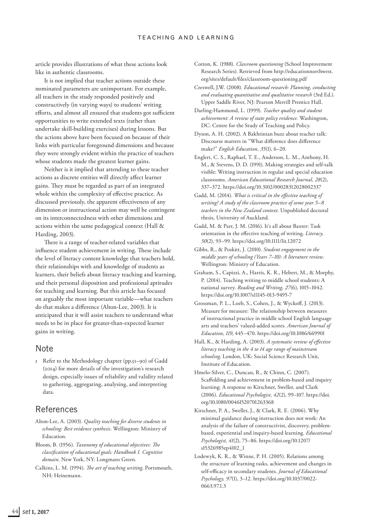article provides illustrations of what these actions look like in authentic classrooms.

It is not implied that teacher actions outside these nominated parameters are unimportant. For example, all teachers in the study responded positively and constructively (in varying ways) to students' writing efforts, and almost all ensured that students got sufficient opportunities to write extended texts (rather than undertake skill-building exercises) during lessons. But the actions above have been focused on because of their links with particular foreground dimensions and because they were strongly evident within the practice of teachers whose students made the greatest learner gains.

Neither is it implied that attending to these teacher actions as discrete entities will directly affect learner gains. They must be regarded as part of an integrated whole within the complexity of effective practice. As discussed previously, the apparent effectiveness of any dimension or instructional action may well be contingent on its interconnectedness with other dimensions and actions within the same pedagogical context (Hall & Harding, 2003).

There is a range of teacher-related variables that influence student achievement in writing. These include the level of literacy content knowledge that teachers hold, their relationships with and knowledge of students as learners, their beliefs about literacy teaching and learning, and their personal disposition and professional aptitudes for teaching and learning. But this article has focused on arguably the most important variable—what teachers do that makes a difference (Alton-Lee, 2003). It is anticipated that it will assist teachers to understand what needs to be in place for greater-than-expected learner gains in writing.

#### Note

1 Refer to the Methodology chapter (pp.51–90) of Gadd (2014) for more details of the investigation's research design, especially issues of reliability and validity related to gathering, aggregating, analysing, and interpreting data.

## References

- Alton-Lee, A. (2003). *Quality teaching for diverse students in schooling: Best evidence synthesis*. Wellington: Ministry of Education.
- Bloom, B. (1956). *Taxonomy of educational objectives: The classification of educational goals: Handbook I. Cognitive domain*. New York, NY: Longmans Green.
- Calkins, L. M. (1994). *The art of teaching writing*. Portsmouth, NH: Heinemann.
- Cotton, K. (1988). *Classroom questioning* (School Improvement Research Series). Retrieved from http://educationnorthwest. org/sites/default/files/classroom-questioning.pdf
- Creswell, J.W. (2008). *Educational research: Planning, conducting and evaluating quantitative and qualitative research* (3rd Ed.). Upper Saddle River, NJ: Pearson Merrill Prentice Hall.
- Darling-Hammond, L. (1999). *Teacher quality and student achievement: A review of state policy evidence.* Washington, DC: Centre for the Study of Teaching and Policy.
- Dyson, A. H. (2002). A Bakhtinian buzz about teacher talk: Discourse matters in "What difference does difference make?" *English Education, 35*(1), 6–20.
- Englert, C. S., Raphael, T. E., Anderson, L. M., Anthony, H. M., & Stevens, D. D. (1991). Making strategies and self-talk visible: Writing instruction in regular and special education classrooms. *American Educational Research Journal, 28*(2), 337–372. https://doi.org/10.3102/00028312028002337
- Gadd, M. (2014). *What is critical in the effective teaching of writing? A study of the classroom practice of some year 5–8 teachers in the New Zealand context*. Unpublished doctoral thesis, University of Auckland.
- Gadd, M. & Parr, J. M. (2016). It's all about Baxter: Task orientation in the effective teaching of writing. *Literacy, 50*(2), 93–99. https://doi.org/10.1111/lit.12072
- Gibbs, R., & Poskitt, J. (2010). *Student engagement in the middle years of schooling (Years 7–10): A literature review*. Wellington: Ministry of Education.
- Graham, S., Capizzi, A., Harris, K. R., Hebert, M., & Morphy, P. (2014). Teaching writing to middle school students: A national survey. *Reading and Writing, 27*(6), 1015–1042. https://doi.org/10.1007/s11145-013-9495-7
- Grossman, P. L., Loeb, S., Cohen, J., & Wyckoff, J. (2013). Measure for measure: The relationship between measures of instructional practice in middle school English language arts and teachers' valued-added scores*. American Journal of Education, 119*, 445–470. https://doi.org/10.1086/669901
- Hall, K., & Harding, A. (2003). *A systematic review of effective literacy teaching in the 4 to 14 age range of mainstream schooling*. London, UK: Social Science Research Unit, Institute of Education.
- Hmelo-Silver, C., Duncan, R., & Chinn, C. (2007). Scaffolding and achievement in problem-based and inquiry learning: A response to Kirschner, Sweller, and Clark (2006). *Educational Psychologist, 42*(2), 99–107. https://doi. org/10.1080/00461520701263368
- Kirschner, P. A., Sweller, J., & Clark, R. E. (2006). Why minimal guidance during instruction does not work: An analysis of the failure of constructivist, discovery, problembased, experiential and inquiry-based learning. *Educational Psychologist, 41*(2), 75–86. https://doi.org/10.1207/ s15326985ep4102\_1
- Lodewyk, K. R., & Winne, P. H. (2005). Relations among the structure of learning tasks, achievement and changes in self-efficacy in secondary students. *Journal of Educational Psychology, 97*(1), 3–12. https://doi.org/10.1037/0022- 0663.97.1.3